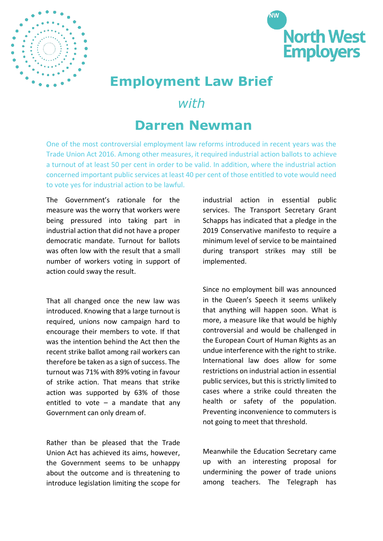



# **Employment Law Brief**

### *with*

## **Darren Newman**

One of the most controversial employment law reforms introduced in recent years was the Trade Union Act 2016. Among other measures, it required industrial action ballots to achieve a turnout of at least 50 per cent in order to be valid. In addition, where the industrial action concerned important public services at least 40 per cent of those entitled to vote would need to vote yes for industrial action to be lawful.

The Government's rationale for the measure was the worry that workers were being pressured into taking part in industrial action that did not have a proper democratic mandate. Turnout for ballots was often low with the result that a small number of workers voting in support of action could sway the result.

That all changed once the new law was introduced. Knowing that a large turnout is required, unions now campaign hard to encourage their members to vote. If that was the intention behind the Act then the recent strike ballot among rail workers can therefore be taken as a sign of success. The turnout was 71% with 89% voting in favour of strike action. That means that strike action was supported by 63% of those entitled to vote  $-$  a mandate that any Government can only dream of.

Rather than be pleased that the Trade Union Act has achieved its aims, however, the Government seems to be unhappy about the outcome and is threatening to introduce legislation limiting the scope for industrial action in essential public services. The Transport Secretary Grant Schapps has indicated that a pledge in the 2019 Conservative manifesto to require a minimum level of service to be maintained during transport strikes may still be implemented.

Since no employment bill was announced in the Queen's Speech it seems unlikely that anything will happen soon. What is more, a measure like that would be highly controversial and would be challenged in the European Court of Human Rights as an undue interference with the right to strike. International law does allow for some restrictions on industrial action in essential public services, but this is strictly limited to cases where a strike could threaten the health or safety of the population. Preventing inconvenience to commuters is not going to meet that threshold.

Meanwhile the Education Secretary came up with an interesting proposal for undermining the power of trade unions among teachers. The Telegraph has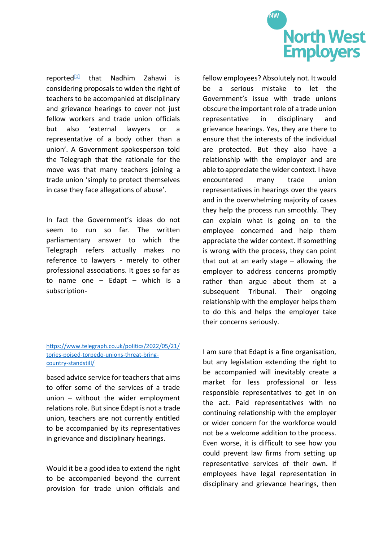

reported<sup>[\[1\]](https://ukc-word-edit.officeapps.live.com/we/wordeditorframe.aspx?ui=en%2DUS&rs=en%2DGB&wopisrc=https%3A%2F%2Fnwemployersorg.sharepoint.com%2Fdocman%2F_vti_bin%2Fwopi.ashx%2Ffiles%2Fd5033699b3ba49e09ca90c4c3cab8a1a&wdenableroaming=1&mscc=1&hid=08A945A0-C046-4000-35DD-722DA4D48C75&wdorigin=ItemsView&wdhostclicktime=1654776900088&jsapi=1&jsapiver=v1&newsession=1&corrid=45fcae62-6c38-4bda-9a42-59f61dddb966&usid=45fcae62-6c38-4bda-9a42-59f61dddb966&sftc=1&cac=1&mtf=1&sfp=1&instantedit=1&wopicomplete=1&wdredirectionreason=Unified_SingleFlush&rct=Medium&ctp=LeastProtected#_ftn1)</sup> that Nadhim Zahawi is considering proposals to widen the right of teachers to be accompanied at disciplinary and grievance hearings to cover not just fellow workers and trade union officials but also 'external lawyers or a representative of a body other than a union'. A Government spokesperson told the Telegraph that the rationale for the move was that many teachers joining a trade union 'simply to protect themselves in case they face allegations of abuse'.

In fact the Government's ideas do not seem to run so far. The written parliamentary answer to which the Telegraph refers actually makes no reference to lawyers - merely to other professional associations. It goes so far as to name one – Edapt – which is a subscription-

#### fellow employees? Absolutely not. It would be a serious mistake to let the Government's issue with trade unions obscure the important role of a trade union representative in disciplinary and grievance hearings. Yes, they are there to ensure that the interests of the individual are protected. But they also have a relationship with the employer and are able to appreciate the wider context. I have encountered many trade union representatives in hearings over the years and in the overwhelming majority of cases they help the process run smoothly. They can explain what is going on to the employee concerned and help them appreciate the wider context. If something is wrong with the process, they can point that out at an early stage – allowing the employer to address concerns promptly rather than argue about them at a subsequent Tribunal. Their ongoing relationship with the employer helps them to do this and helps the employer take their concerns seriously.

#### [https://www.telegraph.co.uk/politics/2022/05/21/](https://www.telegraph.co.uk/politics/2022/05/21/tories-poised-torpedo-unions-threat-bring-country-standstill/) [tories-poised-torpedo-unions-threat-bring](https://www.telegraph.co.uk/politics/2022/05/21/tories-poised-torpedo-unions-threat-bring-country-standstill/)[country-standstill/](https://www.telegraph.co.uk/politics/2022/05/21/tories-poised-torpedo-unions-threat-bring-country-standstill/)

based advice service for teachers that aims to offer some of the services of a trade union – without the wider employment relations role. But since Edapt is not a trade union, teachers are not currently entitled to be accompanied by its representatives in grievance and disciplinary hearings.

Would it be a good idea to extend the right to be accompanied beyond the current provision for trade union officials and I am sure that Edapt is a fine organisation, but any legislation extending the right to be accompanied will inevitably create a market for less professional or less responsible representatives to get in on the act. Paid representatives with no continuing relationship with the employer or wider concern for the workforce would not be a welcome addition to the process. Even worse, it is difficult to see how you could prevent law firms from setting up representative services of their own. If employees have legal representation in disciplinary and grievance hearings, then